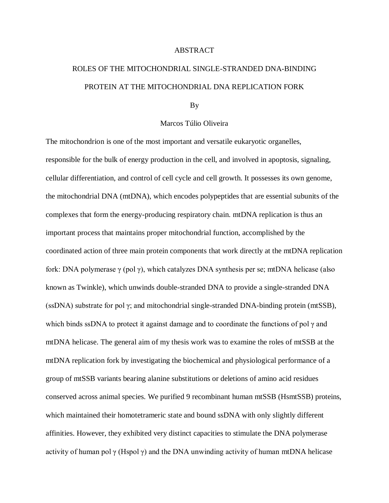## ABSTRACT

## ROLES OF THE MITOCHONDRIAL SINGLE-STRANDED DNA-BINDING PROTEIN AT THE MITOCHONDRIAL DNA REPLICATION FORK

## By

## Marcos Túlio Oliveira

The mitochondrion is one of the most important and versatile eukaryotic organelles, responsible for the bulk of energy production in the cell, and involved in apoptosis, signaling, cellular differentiation, and control of cell cycle and cell growth. It possesses its own genome, the mitochondrial DNA (mtDNA), which encodes polypeptides that are essential subunits of the complexes that form the energy-producing respiratory chain. mtDNA replication is thus an important process that maintains proper mitochondrial function, accomplished by the coordinated action of three main protein components that work directly at the mtDNA replication fork: DNA polymerase  $\gamma$  (pol  $\gamma$ ), which catalyzes DNA synthesis per se; mtDNA helicase (also known as Twinkle), which unwinds double-stranded DNA to provide a single-stranded DNA (ssDNA) substrate for pol γ; and mitochondrial single-stranded DNA-binding protein (mtSSB), which binds ssDNA to protect it against damage and to coordinate the functions of pol  $\gamma$  and mtDNA helicase. The general aim of my thesis work was to examine the roles of mtSSB at the mtDNA replication fork by investigating the biochemical and physiological performance of a group of mtSSB variants bearing alanine substitutions or deletions of amino acid residues conserved across animal species. We purified 9 recombinant human mtSSB (HsmtSSB) proteins, which maintained their homotetrameric state and bound ssDNA with only slightly different affinities. However, they exhibited very distinct capacities to stimulate the DNA polymerase activity of human pol  $\gamma$  (Hspol  $\gamma$ ) and the DNA unwinding activity of human mtDNA helicase